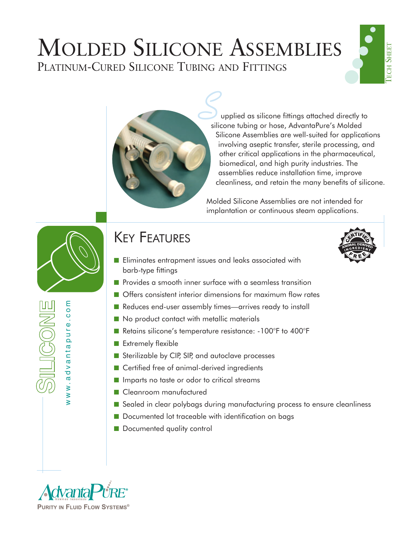## MOLDED SILICONE ASSEMBLIES PLATINUM-CURED SILICONE TUBING AND FITTINGS



upplied as silicone fittings attached directly to silicone tubing or hose, AdvantaPure's Molded Silicone Assemblies are well-suited for applications involving aseptic transfer, sterile processing, and other critical applications in the pharmaceutical, biomedical, and high purity industries. The assemblies reduce installation time, improve cleanliness, and retain the many benefits of silicone.

Molded Silicone Assemblies are not intended for implantation or continuous steam applications.



www.advantapure.com

ww.advantapure.com

 $\mathbb{R}$ 

## KEY FEATURES

- Eliminates entrapment issues and leaks associated with barb-type fittings
- Provides a smooth inner surface with a seamless transition
- Offers consistent interior dimensions for maximum flow rates
- Reduces end-user assembly times—arrives ready to install
- No product contact with metallic materials
- Retains silicone's temperature resistance: -100°F to 400°F
- Extremely flexible
- Sterilizable by CIP, SIP, and autoclave processes
- Certified free of animal-derived ingredients
- Imparts no taste or odor to critical streams
- Cleanroom manufactured
- Sealed in clear polybags during manufacturing process to ensure cleanliness
- Documented lot traceable with identification on bags
- Documented quality control





●

● ● ●

TECH

**SHEET**